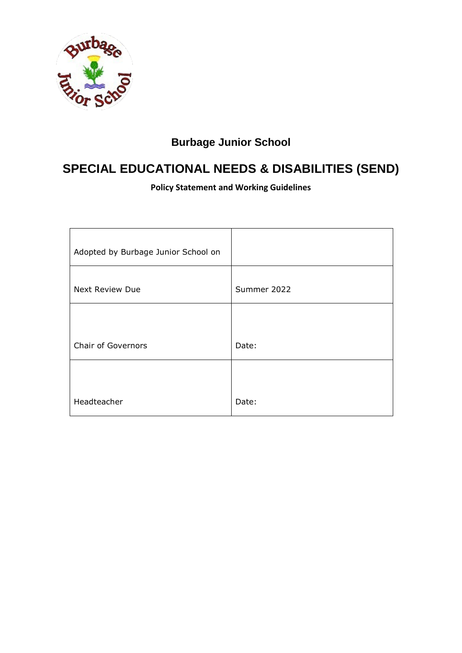

# **Burbage Junior School**

# **SPECIAL EDUCATIONAL NEEDS & DISABILITIES (SEND)**

**Policy Statement and Working Guidelines**

| Summer 2022 |
|-------------|
|             |
| Date:       |
| Date:       |
|             |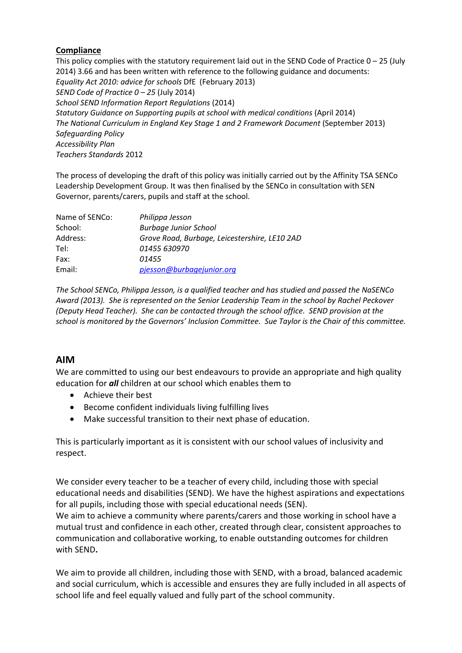#### **Compliance**

This policy complies with the statutory requirement laid out in the SEND Code of Practice  $0 - 25$  (July 2014) 3.66 and has been written with reference to the following guidance and documents: *Equality Act 2010: advice for schools* DfE (February 2013) *SEND Code of Practice 0 – 25* (July 2014) *School SEND Information Report Regulations* (2014) *Statutory Guidance on Supporting pupils at school with medical conditions* (April 2014) *The National Curriculum in England Key Stage 1 and 2 Framework Document* (September 2013) *Safeguarding Policy Accessibility Plan Teachers Standards* 2012

The process of developing the draft of this policy was initially carried out by the Affinity TSA SENCo Leadership Development Group. It was then finalised by the SENCo in consultation with SEN Governor, parents/carers, pupils and staff at the school.

| Philippa Jesson                               |
|-----------------------------------------------|
| <b>Burbage Junior School</b>                  |
| Grove Road, Burbage, Leicestershire, LE10 2AD |
| 01455 630970                                  |
| 01455                                         |
| pjesson@burbagejunior.org                     |
|                                               |

*The School SENCo, Philippa Jesson, is a qualified teacher and has studied and passed the NaSENCo Award (2013). She is represented on the Senior Leadership Team in the school by Rachel Peckover (Deputy Head Teacher). She can be contacted through the school office. SEND provision at the school is monitored by the Governors' Inclusion Committee. Sue Taylor is the Chair of this committee.*

# **AIM**

We are committed to using our best endeavours to provide an appropriate and high quality education for *all* children at our school which enables them to

- Achieve their best
- Become confident individuals living fulfilling lives
- Make successful transition to their next phase of education.

This is particularly important as it is consistent with our school values of inclusivity and respect.

We consider every teacher to be a teacher of every child, including those with special educational needs and disabilities (SEND). We have the highest aspirations and expectations for all pupils, including those with special educational needs (SEN).

We aim to achieve a community where parents/carers and those working in school have a mutual trust and confidence in each other, created through clear, consistent approaches to communication and collaborative working, to enable outstanding outcomes for children with SEND**.**

We aim to provide all children, including those with SEND, with a broad, balanced academic and social curriculum, which is accessible and ensures they are fully included in all aspects of school life and feel equally valued and fully part of the school community.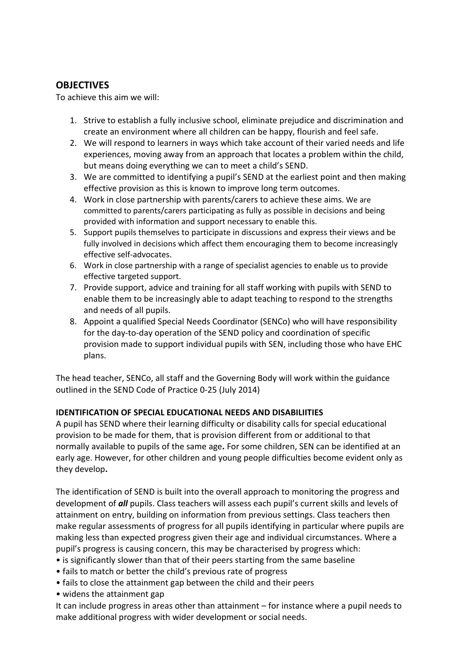# **OBJECTIVES**

To achieve this aim we will:

- 1. Strive to establish a fully inclusive school, eliminate prejudice and discrimination and create an environment where all children can be happy, flourish and feel safe.
- 2. We will respond to learners in ways which take account of their varied needs and life experiences, moving away from an approach that locates a problem within the child, but means doing everything we can to meet a child's SEND.
- 3. We are committed to identifying a pupil's SEND at the earliest point and then making effective provision as this is known to improve long term outcomes.
- 4. Work in close partnership with parents/carers to achieve these aims. We are committed to parents/carers participating as fully as possible in decisions and being provided with information and support necessary to enable this.
- 5. Support pupils themselves to participate in discussions and express their views and be fully involved in decisions which affect them encouraging them to become increasingly effective self-advocates.
- 6. Work in close partnership with a range of specialist agencies to enable us to provide effective targeted support.
- 7. Provide support, advice and training for all staff working with pupils with SEND to enable them to be increasingly able to adapt teaching to respond to the strengths and needs of all pupils.
- 8. Appoint a qualified Special Needs Coordinator (SENCo) who will have responsibility for the day-to-day operation of the SEND policy and coordination of specific provision made to support individual pupils with SEN, including those who have EHC plans.

The head teacher, SENCo, all staff and the Governing Body will work within the guidance outlined in the SEND Code of Practice 0-25 (July 2014)

## **IDENTIFICATION OF SPECIAL EDUCATIONAL NEEDS AND DISABILIITIES**

A pupil has SEND where their learning difficulty or disability calls for special educational provision to be made for them, that is provision different from or additional to that normally available to pupils of the same age**.** For some children, SEN can be identified at an early age. However, for other children and young people difficulties become evident only as they develop**.**

The identification of SEND is built into the overall approach to monitoring the progress and development of *all* pupils. Class teachers will assess each pupil's current skills and levels of attainment on entry, building on information from previous settings. Class teachers then make regular assessments of progress for all pupils identifying in particular where pupils are making less than expected progress given their age and individual circumstances. Where a pupil's progress is causing concern, this may be characterised by progress which:

- is significantly slower than that of their peers starting from the same baseline
- fails to match or better the child's previous rate of progress
- fails to close the attainment gap between the child and their peers
- widens the attainment gap

It can include progress in areas other than attainment – for instance where a pupil needs to make additional progress with wider development or social needs.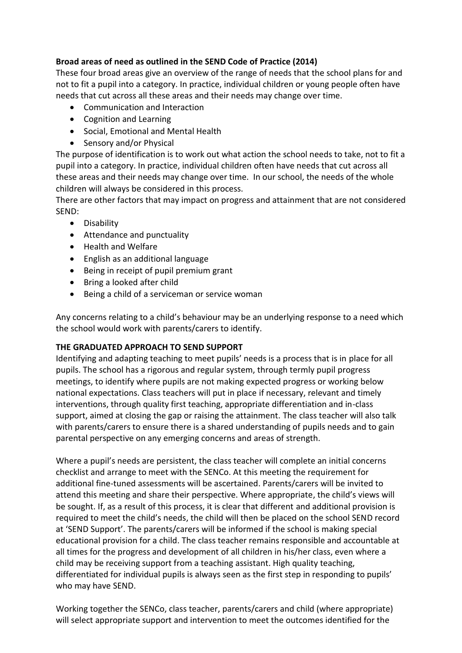# **Broad areas of need as outlined in the SEND Code of Practice (2014)**

These four broad areas give an overview of the range of needs that the school plans for and not to fit a pupil into a category. In practice, individual children or young people often have needs that cut across all these areas and their needs may change over time.

- Communication and Interaction
- Cognition and Learning
- Social, Emotional and Mental Health
- Sensory and/or Physical

The purpose of identification is to work out what action the school needs to take, not to fit a pupil into a category. In practice, individual children often have needs that cut across all these areas and their needs may change over time. In our school, the needs of the whole children will always be considered in this process.

There are other factors that may impact on progress and attainment that are not considered SEND:

- **•** Disability
- Attendance and punctuality
- Health and Welfare
- English as an additional language
- Being in receipt of pupil premium grant
- Bring a looked after child
- Being a child of a serviceman or service woman

Any concerns relating to a child's behaviour may be an underlying response to a need which the school would work with parents/carers to identify.

## **THE GRADUATED APPROACH TO SEND SUPPORT**

Identifying and adapting teaching to meet pupils' needs is a process that is in place for all pupils. The school has a rigorous and regular system, through termly pupil progress meetings, to identify where pupils are not making expected progress or working below national expectations. Class teachers will put in place if necessary, relevant and timely interventions, through quality first teaching, appropriate differentiation and in-class support, aimed at closing the gap or raising the attainment. The class teacher will also talk with parents/carers to ensure there is a shared understanding of pupils needs and to gain parental perspective on any emerging concerns and areas of strength.

Where a pupil's needs are persistent, the class teacher will complete an initial concerns checklist and arrange to meet with the SENCo. At this meeting the requirement for additional fine-tuned assessments will be ascertained. Parents/carers will be invited to attend this meeting and share their perspective. Where appropriate, the child's views will be sought. If, as a result of this process, it is clear that different and additional provision is required to meet the child's needs, the child will then be placed on the school SEND record at 'SEND Support'. The parents/carers will be informed if the school is making special educational provision for a child. The class teacher remains responsible and accountable at all times for the progress and development of all children in his/her class, even where a child may be receiving support from a teaching assistant. High quality teaching, differentiated for individual pupils is always seen as the first step in responding to pupils' who may have SEND.

Working together the SENCo, class teacher, parents/carers and child (where appropriate) will select appropriate support and intervention to meet the outcomes identified for the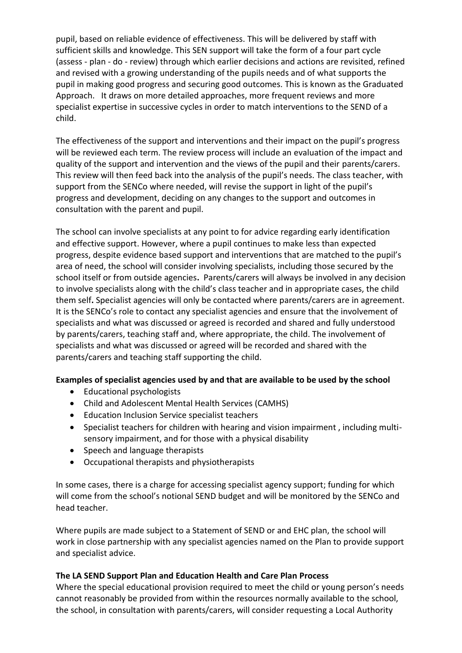pupil, based on reliable evidence of effectiveness. This will be delivered by staff with sufficient skills and knowledge. This SEN support will take the form of a four part cycle (assess - plan - do - review) through which earlier decisions and actions are revisited, refined and revised with a growing understanding of the pupils needs and of what supports the pupil in making good progress and securing good outcomes. This is known as the Graduated Approach. It draws on more detailed approaches, more frequent reviews and more specialist expertise in successive cycles in order to match interventions to the SEND of a child.

The effectiveness of the support and interventions and their impact on the pupil's progress will be reviewed each term. The review process will include an evaluation of the impact and quality of the support and intervention and the views of the pupil and their parents/carers. This review will then feed back into the analysis of the pupil's needs. The class teacher, with support from the SENCo where needed, will revise the support in light of the pupil's progress and development, deciding on any changes to the support and outcomes in consultation with the parent and pupil.

The school can involve specialists at any point to for advice regarding early identification and effective support. However, where a pupil continues to make less than expected progress, despite evidence based support and interventions that are matched to the pupil's area of need, the school will consider involving specialists, including those secured by the school itself or from outside agencies**.** Parents/carers will always be involved in any decision to involve specialists along with the child's class teacher and in appropriate cases, the child them self**.** Specialist agencies will only be contacted where parents/carers are in agreement. It is the SENCo's role to contact any specialist agencies and ensure that the involvement of specialists and what was discussed or agreed is recorded and shared and fully understood by parents/carers, teaching staff and, where appropriate, the child. The involvement of specialists and what was discussed or agreed will be recorded and shared with the parents/carers and teaching staff supporting the child.

## **Examples of specialist agencies used by and that are available to be used by the school**

- Educational psychologists
- Child and Adolescent Mental Health Services (CAMHS)
- Education Inclusion Service specialist teachers
- Specialist teachers for children with hearing and vision impairment , including multisensory impairment, and for those with a physical disability
- Speech and language therapists
- Occupational therapists and physiotherapists

In some cases, there is a charge for accessing specialist agency support; funding for which will come from the school's notional SEND budget and will be monitored by the SENCo and head teacher.

Where pupils are made subject to a Statement of SEND or and EHC plan, the school will work in close partnership with any specialist agencies named on the Plan to provide support and specialist advice.

#### **The LA SEND Support Plan and Education Health and Care Plan Process**

Where the special educational provision required to meet the child or young person's needs cannot reasonably be provided from within the resources normally available to the school, the school, in consultation with parents/carers, will consider requesting a Local Authority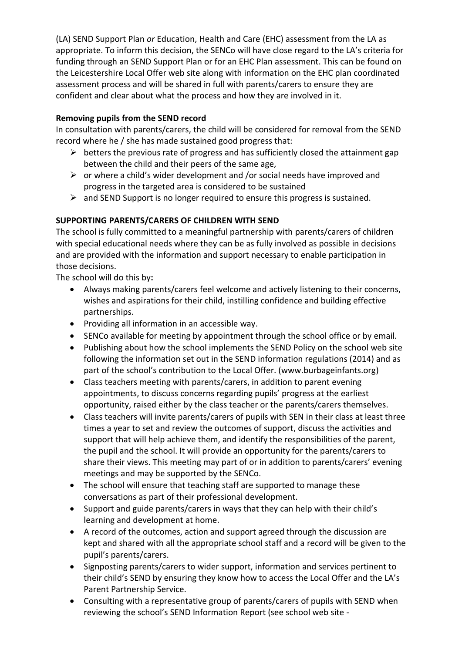(LA) SEND Support Plan *or* Education, Health and Care (EHC) assessment from the LA as appropriate. To inform this decision, the SENCo will have close regard to the LA's criteria for funding through an SEND Support Plan or for an EHC Plan assessment. This can be found on the Leicestershire Local Offer web site along with information on the EHC plan coordinated assessment process and will be shared in full with parents/carers to ensure they are confident and clear about what the process and how they are involved in it.

# **Removing pupils from the SEND record**

In consultation with parents/carers, the child will be considered for removal from the SEND record where he / she has made sustained good progress that:

- $\triangleright$  betters the previous rate of progress and has sufficiently closed the attainment gap between the child and their peers of the same age,
- $\triangleright$  or where a child's wider development and /or social needs have improved and progress in the targeted area is considered to be sustained
- $\triangleright$  and SEND Support is no longer required to ensure this progress is sustained.

# **SUPPORTING PARENTS/CARERS OF CHILDREN WITH SEND**

The school is fully committed to a meaningful partnership with parents/carers of children with special educational needs where they can be as fully involved as possible in decisions and are provided with the information and support necessary to enable participation in those decisions.

The school will do this by**:**

- Always making parents/carers feel welcome and actively listening to their concerns, wishes and aspirations for their child, instilling confidence and building effective partnerships.
- Providing all information in an accessible way.
- SENCo available for meeting by appointment through the school office or by email.
- Publishing about how the school implements the SEND Policy on the school web site following the information set out in the SEND information regulations (2014) and as part of the school's contribution to the Local Offer. (www.burbageinfants.org)
- Class teachers meeting with parents/carers, in addition to parent evening appointments, to discuss concerns regarding pupils' progress at the earliest opportunity, raised either by the class teacher or the parents/carers themselves.
- Class teachers will invite parents/carers of pupils with SEN in their class at least three times a year to set and review the outcomes of support, discuss the activities and support that will help achieve them, and identify the responsibilities of the parent, the pupil and the school. It will provide an opportunity for the parents/carers to share their views. This meeting may part of or in addition to parents/carers' evening meetings and may be supported by the SENCo.
- The school will ensure that teaching staff are supported to manage these conversations as part of their professional development.
- Support and guide parents/carers in ways that they can help with their child's learning and development at home.
- A record of the outcomes, action and support agreed through the discussion are kept and shared with all the appropriate school staff and a record will be given to the pupil's parents/carers.
- Signposting parents/carers to wider support, information and services pertinent to their child's SEND by ensuring they know how to access the Local Offer and the LA's Parent Partnership Service.
- Consulting with a representative group of parents/carers of pupils with SEND when reviewing the school's SEND Information Report (see school web site -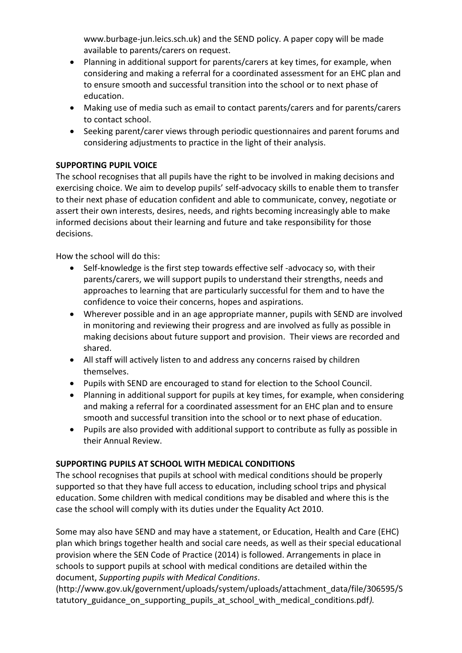www.burbage-jun.leics.sch.uk) and the SEND policy. A paper copy will be made available to parents/carers on request.

- Planning in additional support for parents/carers at key times, for example, when considering and making a referral for a coordinated assessment for an EHC plan and to ensure smooth and successful transition into the school or to next phase of education.
- Making use of media such as email to contact parents/carers and for parents/carers to contact school.
- Seeking parent/carer views through periodic questionnaires and parent forums and considering adjustments to practice in the light of their analysis.

# **SUPPORTING PUPIL VOICE**

The school recognises that all pupils have the right to be involved in making decisions and exercising choice. We aim to develop pupils' self-advocacy skills to enable them to transfer to their next phase of education confident and able to communicate, convey, negotiate or assert their own interests, desires, needs, and rights becoming increasingly able to make informed decisions about their learning and future and take responsibility for those decisions.

How the school will do this:

- Self-knowledge is the first step towards effective self -advocacy so, with their parents/carers, we will support pupils to understand their strengths, needs and approaches to learning that are particularly successful for them and to have the confidence to voice their concerns, hopes and aspirations.
- Wherever possible and in an age appropriate manner, pupils with SEND are involved in monitoring and reviewing their progress and are involved as fully as possible in making decisions about future support and provision. Their views are recorded and shared.
- All staff will actively listen to and address any concerns raised by children themselves.
- Pupils with SEND are encouraged to stand for election to the School Council.
- Planning in additional support for pupils at key times, for example, when considering and making a referral for a coordinated assessment for an EHC plan and to ensure smooth and successful transition into the school or to next phase of education.
- Pupils are also provided with additional support to contribute as fully as possible in their Annual Review.

## **SUPPORTING PUPILS AT SCHOOL WITH MEDICAL CONDITIONS**

The school recognises that pupils at school with medical conditions should be properly supported so that they have full access to education, including school trips and physical education. Some children with medical conditions may be disabled and where this is the case the school will comply with its duties under the Equality Act 2010.

Some may also have SEND and may have a statement, or Education, Health and Care (EHC) plan which brings together health and social care needs, as well as their special educational provision where the SEN Code of Practice (2014) is followed. Arrangements in place in schools to support pupils at school with medical conditions are detailed within the document, *Supporting pupils with Medical Conditions*.

(http://www.gov.uk/government/uploads/system/uploads/attachment\_data/file/306595/S tatutory guidance on supporting pupils at school with medical conditions.pdf).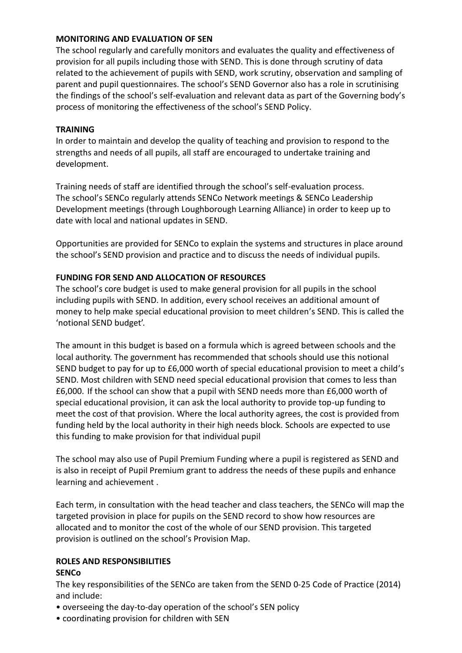#### **MONITORING AND EVALUATION OF SEN**

The school regularly and carefully monitors and evaluates the quality and effectiveness of provision for all pupils including those with SEND. This is done through scrutiny of data related to the achievement of pupils with SEND, work scrutiny, observation and sampling of parent and pupil questionnaires. The school's SEND Governor also has a role in scrutinising the findings of the school's self-evaluation and relevant data as part of the Governing body's process of monitoring the effectiveness of the school's SEND Policy.

#### **TRAINING**

In order to maintain and develop the quality of teaching and provision to respond to the strengths and needs of all pupils, all staff are encouraged to undertake training and development.

Training needs of staff are identified through the school's self-evaluation process. The school's SENCo regularly attends SENCo Network meetings & SENCo Leadership Development meetings (through Loughborough Learning Alliance) in order to keep up to date with local and national updates in SEND.

Opportunities are provided for SENCo to explain the systems and structures in place around the school's SEND provision and practice and to discuss the needs of individual pupils.

#### **FUNDING FOR SEND AND ALLOCATION OF RESOURCES**

The school's core budget is used to make general provision for all pupils in the school including pupils with SEND. In addition, every school receives an additional amount of money to help make special educational provision to meet children's SEND. This is called the 'notional SEND budget'.

The amount in this budget is based on a formula which is agreed between schools and the local authority. The government has recommended that schools should use this notional SEND budget to pay for up to £6,000 worth of special educational provision to meet a child's SEND. Most children with SEND need special educational provision that comes to less than £6,000. If the school can show that a pupil with SEND needs more than £6,000 worth of special educational provision, it can ask the local authority to provide top-up funding to meet the cost of that provision. Where the local authority agrees, the cost is provided from funding held by the local authority in their high needs block. Schools are expected to use this funding to make provision for that individual pupil

The school may also use of Pupil Premium Funding where a pupil is registered as SEND and is also in receipt of Pupil Premium grant to address the needs of these pupils and enhance learning and achievement .

Each term, in consultation with the head teacher and class teachers, the SENCo will map the targeted provision in place for pupils on the SEND record to show how resources are allocated and to monitor the cost of the whole of our SEND provision. This targeted provision is outlined on the school's Provision Map.

#### **ROLES AND RESPONSIBILITIES SENCo**

The key responsibilities of the SENCo are taken from the SEND 0-25 Code of Practice (2014) and include:

- overseeing the day-to-day operation of the school's SEN policy
- coordinating provision for children with SEN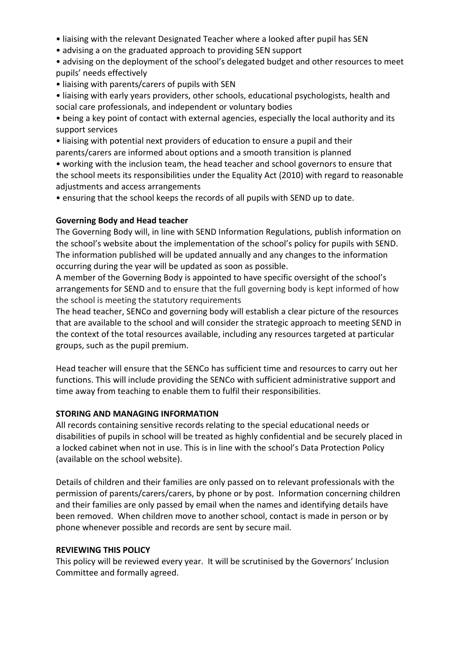- liaising with the relevant Designated Teacher where a looked after pupil has SEN
- advising a on the graduated approach to providing SEN support
- advising on the deployment of the school's delegated budget and other resources to meet pupils' needs effectively
- liaising with parents/carers of pupils with SEN
- liaising with early years providers, other schools, educational psychologists, health and social care professionals, and independent or voluntary bodies

• being a key point of contact with external agencies, especially the local authority and its support services

• liaising with potential next providers of education to ensure a pupil and their parents/carers are informed about options and a smooth transition is planned

• working with the inclusion team, the head teacher and school governors to ensure that the school meets its responsibilities under the Equality Act (2010) with regard to reasonable adjustments and access arrangements

• ensuring that the school keeps the records of all pupils with SEND up to date.

#### **Governing Body and Head teacher**

The Governing Body will, in line with SEND Information Regulations, publish information on the school's website about the implementation of the school's policy for pupils with SEND. The information published will be updated annually and any changes to the information occurring during the year will be updated as soon as possible.

A member of the Governing Body is appointed to have specific oversight of the school's arrangements for SEND and to ensure that the full governing body is kept informed of how the school is meeting the statutory requirements

The head teacher, SENCo and governing body will establish a clear picture of the resources that are available to the school and will consider the strategic approach to meeting SEND in the context of the total resources available, including any resources targeted at particular groups, such as the pupil premium.

Head teacher will ensure that the SENCo has sufficient time and resources to carry out her functions. This will include providing the SENCo with sufficient administrative support and time away from teaching to enable them to fulfil their responsibilities.

## **STORING AND MANAGING INFORMATION**

All records containing sensitive records relating to the special educational needs or disabilities of pupils in school will be treated as highly confidential and be securely placed in a locked cabinet when not in use. This is in line with the school's Data Protection Policy (available on the school website).

Details of children and their families are only passed on to relevant professionals with the permission of parents/carers/carers, by phone or by post. Information concerning children and their families are only passed by email when the names and identifying details have been removed. When children move to another school, contact is made in person or by phone whenever possible and records are sent by secure mail.

## **REVIEWING THIS POLICY**

This policy will be reviewed every year. It will be scrutinised by the Governors' Inclusion Committee and formally agreed.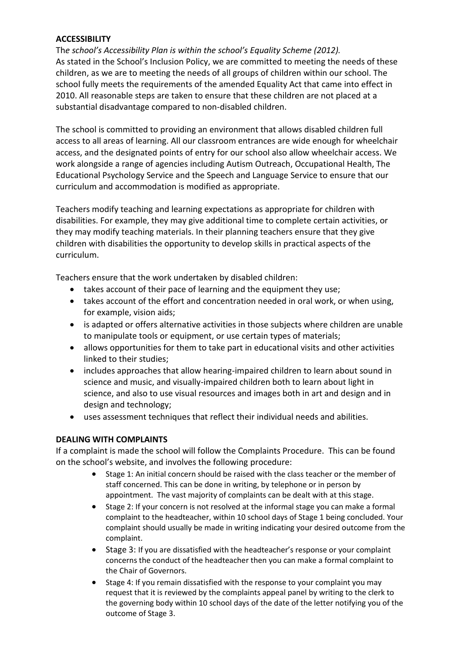## **ACCESSIBILITY**

Th*e school's Accessibility Plan is within the school's Equality Scheme (2012).* As stated in the School's Inclusion Policy, we are committed to meeting the needs of these children, as we are to meeting the needs of all groups of children within our school. The school fully meets the requirements of the amended Equality Act that came into effect in 2010. All reasonable steps are taken to ensure that these children are not placed at a substantial disadvantage compared to non-disabled children.

The school is committed to providing an environment that allows disabled children full access to all areas of learning. All our classroom entrances are wide enough for wheelchair access, and the designated points of entry for our school also allow wheelchair access. We work alongside a range of agencies including Autism Outreach, Occupational Health, The Educational Psychology Service and the Speech and Language Service to ensure that our curriculum and accommodation is modified as appropriate.

Teachers modify teaching and learning expectations as appropriate for children with disabilities. For example, they may give additional time to complete certain activities, or they may modify teaching materials. In their planning teachers ensure that they give children with disabilities the opportunity to develop skills in practical aspects of the curriculum.

Teachers ensure that the work undertaken by disabled children:

- takes account of their pace of learning and the equipment they use;
- takes account of the effort and concentration needed in oral work, or when using, for example, vision aids;
- is adapted or offers alternative activities in those subjects where children are unable to manipulate tools or equipment, or use certain types of materials;
- allows opportunities for them to take part in educational visits and other activities linked to their studies;
- includes approaches that allow hearing-impaired children to learn about sound in science and music, and visually-impaired children both to learn about light in science, and also to use visual resources and images both in art and design and in design and technology;
- uses assessment techniques that reflect their individual needs and abilities.

## **DEALING WITH COMPLAINTS**

If a complaint is made the school will follow the Complaints Procedure. This can be found on the school's website, and involves the following procedure:

- Stage 1: An initial concern should be raised with the class teacher or the member of staff concerned. This can be done in writing, by telephone or in person by appointment. The vast majority of complaints can be dealt with at this stage.
- Stage 2: If your concern is not resolved at the informal stage you can make a formal complaint to the headteacher, within 10 school days of Stage 1 being concluded. Your complaint should usually be made in writing indicating your desired outcome from the complaint.
- Stage 3: If you are dissatisfied with the headteacher's response or your complaint concerns the conduct of the headteacher then you can make a formal complaint to the Chair of Governors.
- Stage 4: If you remain dissatisfied with the response to your complaint you may request that it is reviewed by the complaints appeal panel by writing to the clerk to the governing body within 10 school days of the date of the letter notifying you of the outcome of Stage 3.